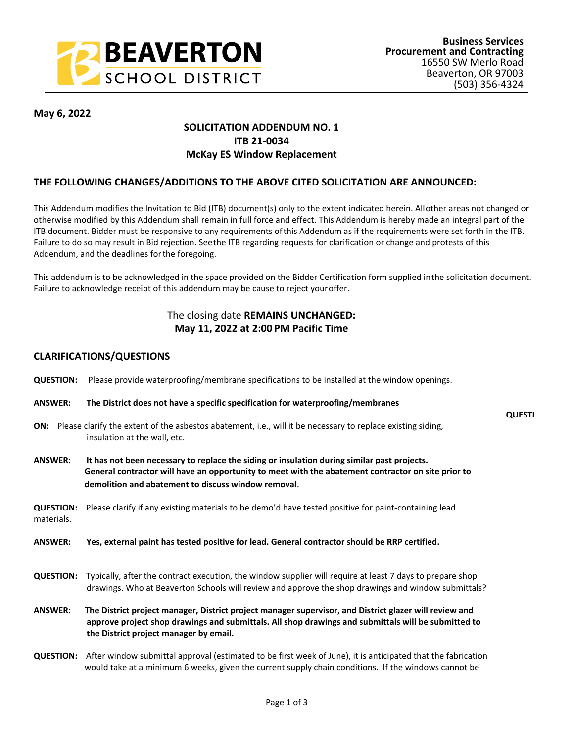

**QUESTI**

**May 6, 2022**

## **SOLICITATION ADDENDUM NO. 1 ITB 21-0034 McKay ES Window Replacement**

## **THE FOLLOWING CHANGES/ADDITIONS TO THE ABOVE CITED SOLICITATION ARE ANNOUNCED:**

This Addendum modifies the Invitation to Bid (ITB) document(s) only to the extent indicated herein. All other areas not changed or otherwise modified by this Addendum shall remain in full force and effect. This Addendum is hereby made an integral part of the ITB document. Bidder must be responsive to any requirements of this Addendum as if the requirements were set forth in the ITB. Failure to do so may result in Bid rejection. See the ITB regarding requests for clarification or change and protests of this Addendum, and the deadlines for the foregoing.

This addendum is to be acknowledged in the space provided on the Bidder Certification form supplied in the solicitation document. Failure to acknowledge receipt of this addendum may be cause to reject your offer.

## The closing date **REMAINS UNCHANGED: May 11, 2022 at 2:00 PM Pacific Time**

## **CLARIFICATIONS/QUESTIONS**

- **QUESTION:** Please provide waterproofing/membrane specifications to be installed at the window openings.
- **ANSWER: The District does not have a specific specification for waterproofing/membranes**
- **ON:** Please clarify the extent of the asbestos abatement, i.e., will it be necessary to replace existing siding, insulation at the wall, etc.
- **ANSWER: It has not been necessary to replace the siding or insulation during similar past projects. General contractor will have an opportunity to meet with the abatement contractor on site prior to demolition and abatement to discuss window removal**.

**QUESTION:** Please clarify if any existing materials to be demo'd have tested positive for paint-containing lead materials.

**ANSWER: Yes, external paint has tested positive for lead. General contractor should be RRP certified.**

- **QUESTION:** Typically, after the contract execution, the window supplier will require at least 7 days to prepare shop drawings. Who at Beaverton Schools will review and approve the shop drawings and window submittals?
- **ANSWER:****The District project manager, District project manager supervisor, and District glazer will review and approve project shop drawings and submittals. All shop drawings and submittals will be submitted to the District project manager by email.**
- **QUESTION:** After window submittal approval (estimated to be first week of June), it is anticipated that the fabrication would take at a minimum 6 weeks, given the current supply chain conditions. If the windows cannot be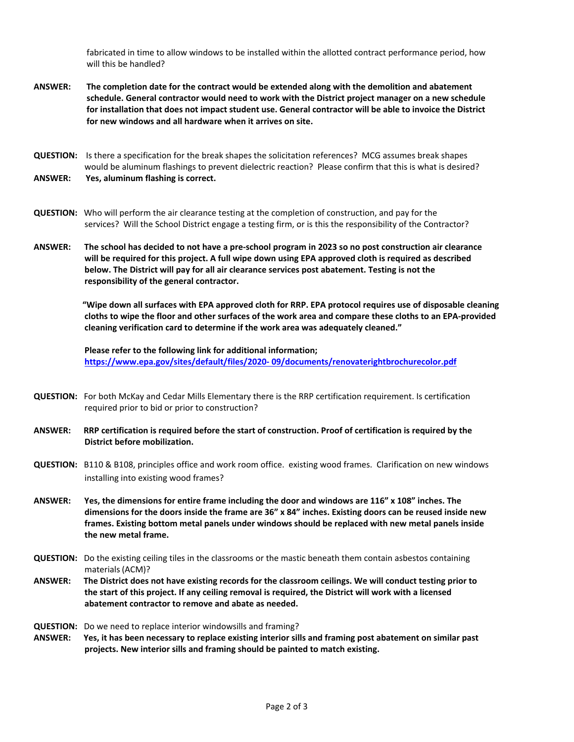fabricated in time to allow windows to be installed within the allotted contract performance period, how will this be handled?

- **ANSWER: The completion date for the contract would be extended along with the demolition and abatement schedule. General contractor would need to work with the District project manager on a new schedule for installation that does not impact student use. General contractor will be able to invoice the District for new windows and all hardware when it arrives on site.**
- **QUESTION:** Is there a specification for the break shapes the solicitation references? MCG assumes break shapes would be aluminum flashings to prevent dielectric reaction? Please confirm that this is what is desired? **ANSWER: Yes, aluminum flashing is correct.**
- **QUESTION:** Who will perform the air clearance testing at the completion of construction, and pay for the services? Will the School District engage a testing firm, or is this the responsibility of the Contractor?
- **ANSWER: The school has decided to not have a pre-school program in 2023 so no post construction air clearance will be required for this project. A full wipe down using EPA approved cloth is required as described below. The District will pay for all air clearance services post abatement. Testing is not the responsibility of the general contractor.**

 **"Wipe down all surfaces with EPA approved cloth for RRP. EPA protocol requires use of disposable cleaning cloths to wipe the floor and other surfaces of the work area and compare these cloths to an EPA-provided cleaning verification card to determine if the work area was adequately cleaned."**

 **Please refer to the following link for additional information; [https://www.epa.gov/sites/default/files/2020- 09/documents/renovaterightbrochurecolor.pdf](https://www.epa.gov/sites/default/files/2020-%2009/documents/renovaterightbrochurecolor.pdf)**

- **QUESTION:** For both McKay and Cedar Mills Elementary there is the RRP certification requirement. Is certification required prior to bid or prior to construction?
- **ANSWER: RRP certification is required before the start of construction. Proof of certification is required by the District before mobilization.**
- **QUESTION:** B110 & B108, principles office and work room office. existing wood frames. Clarification on new windows installing into existing wood frames?
- **ANSWER: Yes, the dimensions for entire frame including the door and windows are 116" x 108" inches. The dimensions for the doors inside the frame are 36" x 84" inches. Existing doors can be reused inside new frames. Existing bottom metal panels under windows should be replaced with new metal panels inside the new metal frame.**
- **QUESTION:** Do the existing ceiling tiles in the classrooms or the mastic beneath them contain asbestos containing materials (ACM)?
- **ANSWER: The District does not have existing records for the classroom ceilings. We will conduct testing prior to the start of this project. If any ceiling removal is required, the District will work with a licensed abatement contractor to remove and abate as needed.**

**QUESTION:** Do we need to replace interior windowsills and framing?

**ANSWER: Yes, it has been necessary to replace existing interior sills and framing post abatement on similar past projects. New interior sills and framing should be painted to match existing.**